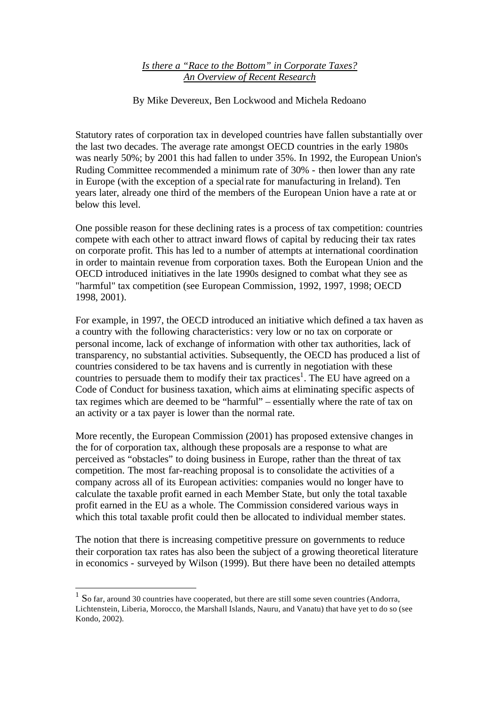## *Is there a "Race to the Bottom" in Corporate Taxes? An Overview of Recent Research*

By Mike Devereux, Ben Lockwood and Michela Redoano

Statutory rates of corporation tax in developed countries have fallen substantially over the last two decades. The average rate amongst OECD countries in the early 1980s was nearly 50%; by 2001 this had fallen to under 35%. In 1992, the European Union's Ruding Committee recommended a minimum rate of 30% - then lower than any rate in Europe (with the exception of a special rate for manufacturing in Ireland). Ten years later, already one third of the members of the European Union have a rate at or below this level.

One possible reason for these declining rates is a process of tax competition: countries compete with each other to attract inward flows of capital by reducing their tax rates on corporate profit. This has led to a number of attempts at international coordination in order to maintain revenue from corporation taxes. Both the European Union and the OECD introduced initiatives in the late 1990s designed to combat what they see as "harmful" tax competition (see European Commission, 1992, 1997, 1998; OECD 1998, 2001).

For example, in 1997, the OECD introduced an initiative which defined a tax haven as a country with the following characteristics: very low or no tax on corporate or personal income, lack of exchange of information with other tax authorities, lack of transparency, no substantial activities. Subsequently, the OECD has produced a list of countries considered to be tax havens and is currently in negotiation with these countries to persuade them to modify their tax practices<sup>1</sup>. The EU have agreed on a Code of Conduct for business taxation, which aims at eliminating specific aspects of tax regimes which are deemed to be "harmful" – essentially where the rate of tax on an activity or a tax payer is lower than the normal rate.

More recently, the European Commission (2001) has proposed extensive changes in the for of corporation tax, although these proposals are a response to what are perceived as "obstacles" to doing business in Europe, rather than the threat of tax competition. The most far-reaching proposal is to consolidate the activities of a company across all of its European activities: companies would no longer have to calculate the taxable profit earned in each Member State, but only the total taxable profit earned in the EU as a whole. The Commission considered various ways in which this total taxable profit could then be allocated to individual member states.

The notion that there is increasing competitive pressure on governments to reduce their corporation tax rates has also been the subject of a growing theoretical literature in economics - surveyed by Wilson (1999). But there have been no detailed attempts

<sup>&</sup>lt;sup>1</sup> So far, around 30 countries have cooperated, but there are still some seven countries (Andorra, Lichtenstein, Liberia, Morocco, the Marshall Islands, Nauru, and Vanatu) that have yet to do so (see Kondo, 2002).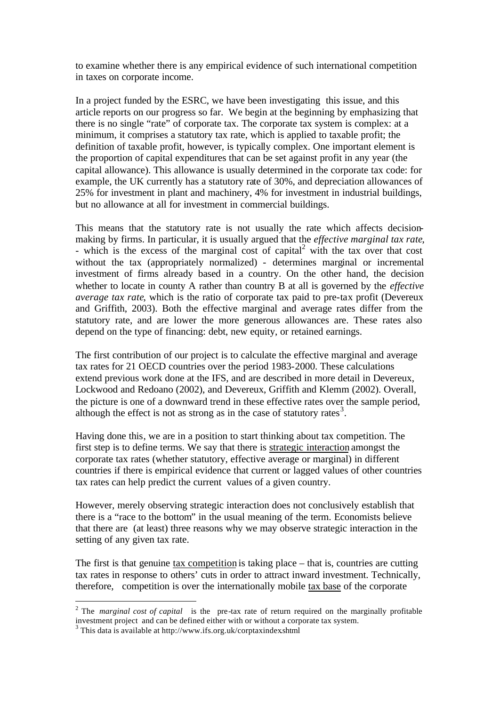to examine whether there is any empirical evidence of such international competition in taxes on corporate income.

In a project funded by the ESRC, we have been investigating this issue, and this article reports on our progress so far. We begin at the beginning by emphasizing that there is no single "rate" of corporate tax. The corporate tax system is complex: at a minimum, it comprises a statutory tax rate, which is applied to taxable profit; the definition of taxable profit, however, is typically complex. One important element is the proportion of capital expenditures that can be set against profit in any year (the capital allowance). This allowance is usually determined in the corporate tax code: for example, the UK currently has a statutory rate of 30%, and depreciation allowances of 25% for investment in plant and machinery, 4% for investment in industrial buildings, but no allowance at all for investment in commercial buildings.

This means that the statutory rate is not usually the rate which affects decisionmaking by firms. In particular, it is usually argued that the *effective marginal tax rate*, - which is the excess of the marginal cost of capital<sup>2</sup> with the tax over that cost without the tax (appropriately normalized) - determines marginal or incremental investment of firms already based in a country. On the other hand, the decision whether to locate in county A rather than country B at all is governed by the *effective average tax rate*, which is the ratio of corporate tax paid to pre-tax profit (Devereux and Griffith, 2003). Both the effective marginal and average rates differ from the statutory rate, and are lower the more generous allowances are. These rates also depend on the type of financing: debt, new equity, or retained earnings.

The first contribution of our project is to calculate the effective marginal and average tax rates for 21 OECD countries over the period 1983-2000. These calculations extend previous work done at the IFS, and are described in more detail in Devereux, Lockwood and Redoano (2002), and Devereux, Griffith and Klemm (2002). Overall, the picture is one of a downward trend in these effective rates over the sample period, although the effect is not as strong as in the case of statutory rates<sup>3</sup>.

Having done this, we are in a position to start thinking about tax competition. The first step is to define terms. We say that there is strategic interaction amongst the corporate tax rates (whether statutory, effective average or marginal) in different countries if there is empirical evidence that current or lagged values of other countries tax rates can help predict the current values of a given country.

However, merely observing strategic interaction does not conclusively establish that there is a "race to the bottom" in the usual meaning of the term. Economists believe that there are (at least) three reasons why we may observe strategic interaction in the setting of any given tax rate.

The first is that genuine tax competition is taking place – that is, countries are cutting tax rates in response to others' cuts in order to attract inward investment. Technically, therefore, competition is over the internationally mobile tax base of the corporate

l

<sup>&</sup>lt;sup>2</sup> The *marginal cost of capital* is the pre-tax rate of return required on the marginally profitable investment project and can be defined either with or without a corporate tax system.

<sup>&</sup>lt;sup>3</sup> This data is available at http://www.ifs.org.uk/corptaxindex.shtml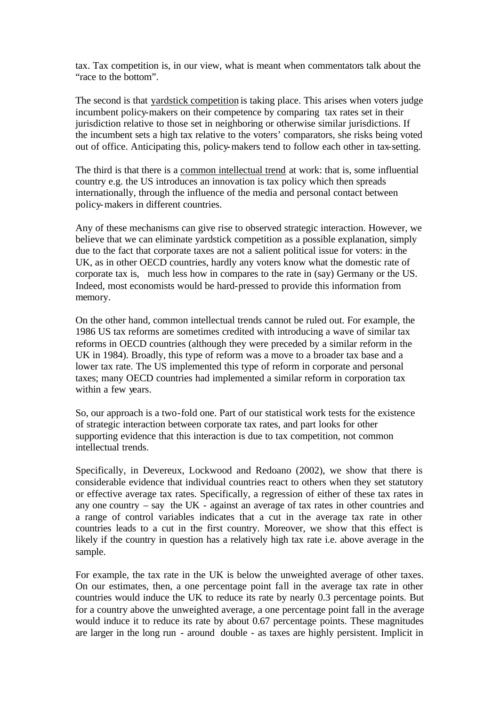tax. Tax competition is, in our view, what is meant when commentators talk about the "race to the bottom".

The second is that yardstick competition is taking place. This arises when voters judge incumbent policy-makers on their competence by comparing tax rates set in their jurisdiction relative to those set in neighboring or otherwise similar jurisdictions. If the incumbent sets a high tax relative to the voters' comparators, she risks being voted out of office. Anticipating this, policy-makers tend to follow each other in tax-setting.

The third is that there is a common intellectual trend at work: that is, some influential country e.g. the US introduces an innovation is tax policy which then spreads internationally, through the influence of the media and personal contact between policy-makers in different countries.

Any of these mechanisms can give rise to observed strategic interaction. However, we believe that we can eliminate yardstick competition as a possible explanation, simply due to the fact that corporate taxes are not a salient political issue for voters: in the UK, as in other OECD countries, hardly any voters know what the domestic rate of corporate tax is, much less how in compares to the rate in (say) Germany or the US. Indeed, most economists would be hard-pressed to provide this information from memory.

On the other hand, common intellectual trends cannot be ruled out. For example, the 1986 US tax reforms are sometimes credited with introducing a wave of similar tax reforms in OECD countries (although they were preceded by a similar reform in the UK in 1984). Broadly, this type of reform was a move to a broader tax base and a lower tax rate. The US implemented this type of reform in corporate and personal taxes; many OECD countries had implemented a similar reform in corporation tax within a few years.

So, our approach is a two-fold one. Part of our statistical work tests for the existence of strategic interaction between corporate tax rates, and part looks for other supporting evidence that this interaction is due to tax competition, not common intellectual trends.

Specifically, in Devereux, Lockwood and Redoano (2002), we show that there is considerable evidence that individual countries react to others when they set statutory or effective average tax rates. Specifically, a regression of either of these tax rates in any one country – say the UK - against an average of tax rates in other countries and a range of control variables indicates that a cut in the average tax rate in other countries leads to a cut in the first country. Moreover, we show that this effect is likely if the country in question has a relatively high tax rate i.e. above average in the sample.

For example, the tax rate in the UK is below the unweighted average of other taxes. On our estimates, then, a one percentage point fall in the average tax rate in other countries would induce the UK to reduce its rate by nearly 0.3 percentage points. But for a country above the unweighted average, a one percentage point fall in the average would induce it to reduce its rate by about 0.67 percentage points. These magnitudes are larger in the long run - around double - as taxes are highly persistent. Implicit in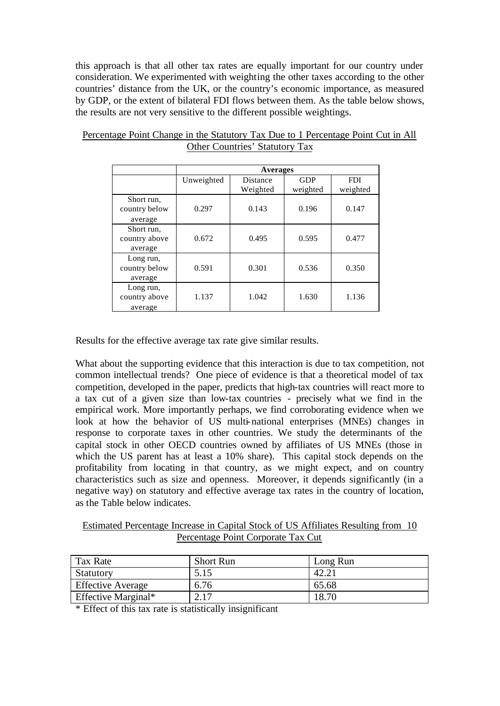this approach is that all other tax rates are equally important for our country under consideration. We experimented with weighting the other taxes according to the other countries' distance from the UK, or the country's economic importance, as measured by GDP, or the extent of bilateral FDI flows between them. As the table below shows, the results are not very sensitive to the different possible weightings.

|                                        | <b>Averages</b> |                      |                        |                        |
|----------------------------------------|-----------------|----------------------|------------------------|------------------------|
|                                        | Unweighted      | Distance<br>Weighted | <b>GDP</b><br>weighted | <b>FDI</b><br>weighted |
| Short run,<br>country below<br>average | 0.297           | 0.143                | 0.196                  | 0.147                  |
| Short run,<br>country above<br>average | 0.672           | 0.495                | 0.595                  | 0.477                  |
| Long run,<br>country below<br>average  | 0.591           | 0.301                | 0.536                  | 0.350                  |
| Long run,<br>country above<br>average  | 1.137           | 1.042                | 1.630                  | 1.136                  |

Percentage Point Change in the Statutory Tax Due to 1 Percentage Point Cut in All Other Countries' Statutory Tax

Results for the effective average tax rate give similar results.

What about the supporting evidence that this interaction is due to tax competition, not common intellectual trends? One piece of evidence is that a theoretical model of tax competition, developed in the paper, predicts that high-tax countries will react more to a tax cut of a given size than low-tax countries - precisely what we find in the empirical work. More importantly perhaps, we find corroborating evidence when we look at how the behavior of US multi-national enterprises (MNEs) changes in response to corporate taxes in other countries. We study the determinants of the capital stock in other OECD countries owned by affiliates of US MNEs (those in which the US parent has at least a 10% share). This capital stock depends on the profitability from locating in that country, as we might expect, and on country characteristics such as size and openness. Moreover, it depends significantly (in a negative way) on statutory and effective average tax rates in the country of location, as the Table below indicates.

Estimated Percentage Increase in Capital Stock of US Affiliates Resulting from 10 Percentage Point Corporate Tax Cut

| Tax Rate                   | <b>Short Run</b> | Long Run |
|----------------------------|------------------|----------|
| Statutory                  | 5.15             |          |
| <b>Effective Average</b>   | 6.76             | 65.68    |
| <b>Effective Marginal*</b> |                  |          |

\* Effect of this tax rate is statistically insignificant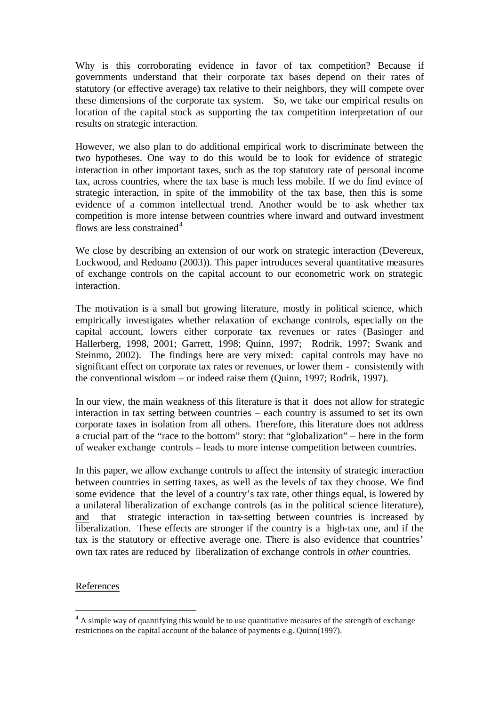Why is this corroborating evidence in favor of tax competition? Because if governments understand that their corporate tax bases depend on their rates of statutory (or effective average) tax relative to their neighbors, they will compete over these dimensions of the corporate tax system. So, we take our empirical results on location of the capital stock as supporting the tax competition interpretation of our results on strategic interaction.

However, we also plan to do additional empirical work to discriminate between the two hypotheses. One way to do this would be to look for evidence of strategic interaction in other important taxes, such as the top statutory rate of personal income tax, across countries, where the tax base is much less mobile. If we do find evince of strategic interaction, in spite of the immobility of the tax base, then this is some evidence of a common intellectual trend. Another would be to ask whether tax competition is more intense between countries where inward and outward investment flows are less constrained<sup>4</sup>

We close by describing an extension of our work on strategic interaction (Devereux, Lockwood, and Redoano (2003)). This paper introduces several quantitative measures of exchange controls on the capital account to our econometric work on strategic interaction.

The motivation is a small but growing literature, mostly in political science, which empirically investigates whether relaxation of exchange controls, especially on the capital account, lowers either corporate tax revenues or rates (Basinger and Hallerberg, 1998, 2001; Garrett, 1998; Quinn, 1997; Rodrik, 1997; Swank and Steinmo, 2002). The findings here are very mixed: capital controls may have no significant effect on corporate tax rates or revenues, or lower them - consistently with the conventional wisdom – or indeed raise them (Quinn, 1997; Rodrik, 1997).

In our view, the main weakness of this literature is that it does not allow for strategic interaction in tax setting between countries – each country is assumed to set its own corporate taxes in isolation from all others. Therefore, this literature does not address a crucial part of the "race to the bottom" story: that "globalization" – here in the form of weaker exchange controls – leads to more intense competition between countries.

In this paper, we allow exchange controls to affect the intensity of strategic interaction between countries in setting taxes, as well as the levels of tax they choose. We find some evidence that the level of a country's tax rate, other things equal, is lowered by a unilateral liberalization of exchange controls (as in the political science literature), and that strategic interaction in tax-setting between countries is increased by liberalization. These effects are stronger if the country is a high-tax one, and if the tax is the statutory or effective average one. There is also evidence that countries' own tax rates are reduced by liberalization of exchange controls in *other* countries.

## References

l

 $4 \text{ A simple way of quantifying this would be to use quantitative measures of the strength of exchange.}$ restrictions on the capital account of the balance of payments e.g. Quinn(1997).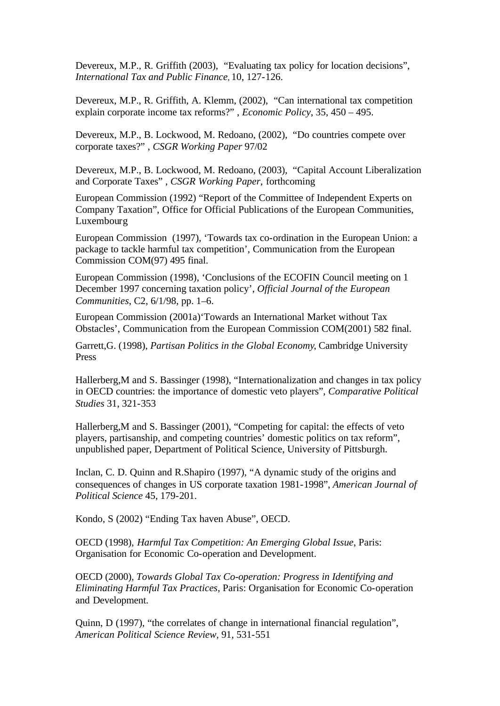Devereux, M.P., R. Griffith (2003), "Evaluating tax policy for location decisions", *International Tax and Public Finance*, 10, 127-126.

Devereux, M.P., R. Griffith, A. Klemm, (2002), "Can international tax competition explain corporate income tax reforms?" , *Economic Policy*, 35, 450 – 495.

Devereux, M.P., B. Lockwood, M. Redoano, (2002), "Do countries compete over corporate taxes?" , *CSGR Working Paper* 97/02

Devereux, M.P., B. Lockwood, M. Redoano, (2003), "Capital Account Liberalization and Corporate Taxes" , *CSGR Working Paper*, forthcoming

European Commission (1992) "Report of the Committee of Independent Experts on Company Taxation", Office for Official Publications of the European Communities, Luxembourg

European Commission (1997), 'Towards tax co-ordination in the European Union: a package to tackle harmful tax competition', Communication from the European Commission COM(97) 495 final.

European Commission (1998), 'Conclusions of the ECOFIN Council meeting on 1 December 1997 concerning taxation policy', *Official Journal of the European Communities*, C2, 6/1/98, pp. 1–6.

European Commission (2001a)'Towards an International Market without Tax Obstacles', Communication from the European Commission COM(2001) 582 final.

Garrett,G. (1998), *Partisan Politics in the Global Economy*, Cambridge University Press

Hallerberg,M and S. Bassinger (1998), "Internationalization and changes in tax policy in OECD countries: the importance of domestic veto players", *Comparative Political Studies* 31, 321-353

Hallerberg,M and S. Bassinger (2001), "Competing for capital: the effects of veto players, partisanship, and competing countries' domestic politics on tax reform", unpublished paper, Department of Political Science, University of Pittsburgh.

Inclan, C. D. Quinn and R.Shapiro (1997), "A dynamic study of the origins and consequences of changes in US corporate taxation 1981-1998", *American Journal of Political Science* 45, 179-201.

Kondo, S (2002) "Ending Tax haven Abuse", OECD.

OECD (1998), *Harmful Tax Competition: An Emerging Global Issue*, Paris: Organisation for Economic Co-operation and Development.

OECD (2000), *Towards Global Tax Co-operation: Progress in Identifying and Eliminating Harmful Tax Practices*, Paris: Organisation for Economic Co-operation and Development.

Quinn, D (1997), "the correlates of change in international financial regulation", *American Political Science Review*, 91, 531-551